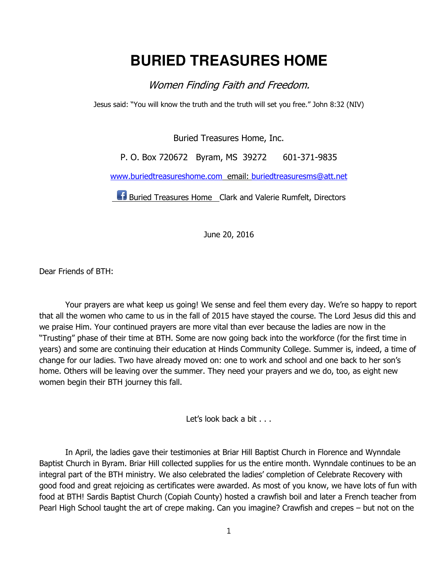## **BURIED TREASURES HOME**

Women Finding Faith and Freedom.

Jesus said: "You will know the truth and the truth will set you free." John 8:32 (NIV)

Buried Treasures Home, Inc.

P. O. Box 720672 Byram, MS 39272 601-371-9835

www.buriedtreasureshome.com email: buriedtreasuresms@att.net

**Buried Treasures Home** Clark and Valerie Rumfelt, Directors

June 20, 2016

Dear Friends of BTH:

Your prayers are what keep us going! We sense and feel them every day. We're so happy to report that all the women who came to us in the fall of 2015 have stayed the course. The Lord Jesus did this and we praise Him. Your continued prayers are more vital than ever because the ladies are now in the "Trusting" phase of their time at BTH. Some are now going back into the workforce (for the first time in years) and some are continuing their education at Hinds Community College. Summer is, indeed, a time of change for our ladies. Two have already moved on: one to work and school and one back to her son's home. Others will be leaving over the summer. They need your prayers and we do, too, as eight new women begin their BTH journey this fall.

Let's look back a bit . . .

In April, the ladies gave their testimonies at Briar Hill Baptist Church in Florence and Wynndale Baptist Church in Byram. Briar Hill collected supplies for us the entire month. Wynndale continues to be an integral part of the BTH ministry. We also celebrated the ladies' completion of Celebrate Recovery with good food and great rejoicing as certificates were awarded. As most of you know, we have lots of fun with food at BTH! Sardis Baptist Church (Copiah County) hosted a crawfish boil and later a French teacher from Pearl High School taught the art of crepe making. Can you imagine? Crawfish and crepes – but not on the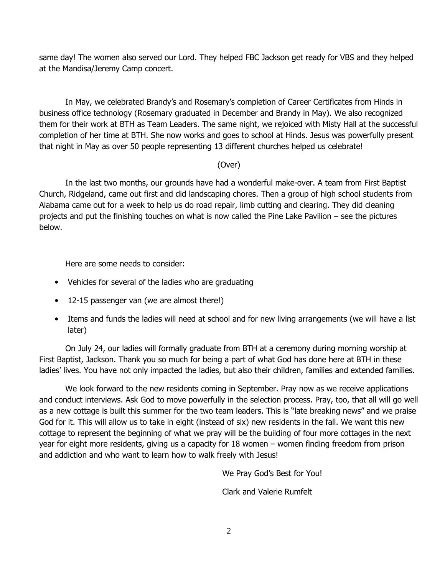same day! The women also served our Lord. They helped FBC Jackson get ready for VBS and they helped at the Mandisa/Jeremy Camp concert.

In May, we celebrated Brandy's and Rosemary's completion of Career Certificates from Hinds in business office technology (Rosemary graduated in December and Brandy in May). We also recognized them for their work at BTH as Team Leaders. The same night, we rejoiced with Misty Hall at the successful completion of her time at BTH. She now works and goes to school at Hinds. Jesus was powerfully present that night in May as over 50 people representing 13 different churches helped us celebrate!

## (Over)

In the last two months, our grounds have had a wonderful make-over. A team from First Baptist Church, Ridgeland, came out first and did landscaping chores. Then a group of high school students from Alabama came out for a week to help us do road repair, limb cutting and clearing. They did cleaning projects and put the finishing touches on what is now called the Pine Lake Pavilion – see the pictures below.

Here are some needs to consider:

- Vehicles for several of the ladies who are graduating
- 12-15 passenger van (we are almost there!)
- Items and funds the ladies will need at school and for new living arrangements (we will have a list later)

On July 24, our ladies will formally graduate from BTH at a ceremony during morning worship at First Baptist, Jackson. Thank you so much for being a part of what God has done here at BTH in these ladies' lives. You have not only impacted the ladies, but also their children, families and extended families.

We look forward to the new residents coming in September. Pray now as we receive applications and conduct interviews. Ask God to move powerfully in the selection process. Pray, too, that all will go well as a new cottage is built this summer for the two team leaders. This is "late breaking news" and we praise God for it. This will allow us to take in eight (instead of six) new residents in the fall. We want this new cottage to represent the beginning of what we pray will be the building of four more cottages in the next year for eight more residents, giving us a capacity for 18 women – women finding freedom from prison and addiction and who want to learn how to walk freely with Jesus!

We Pray God's Best for You!

Clark and Valerie Rumfelt